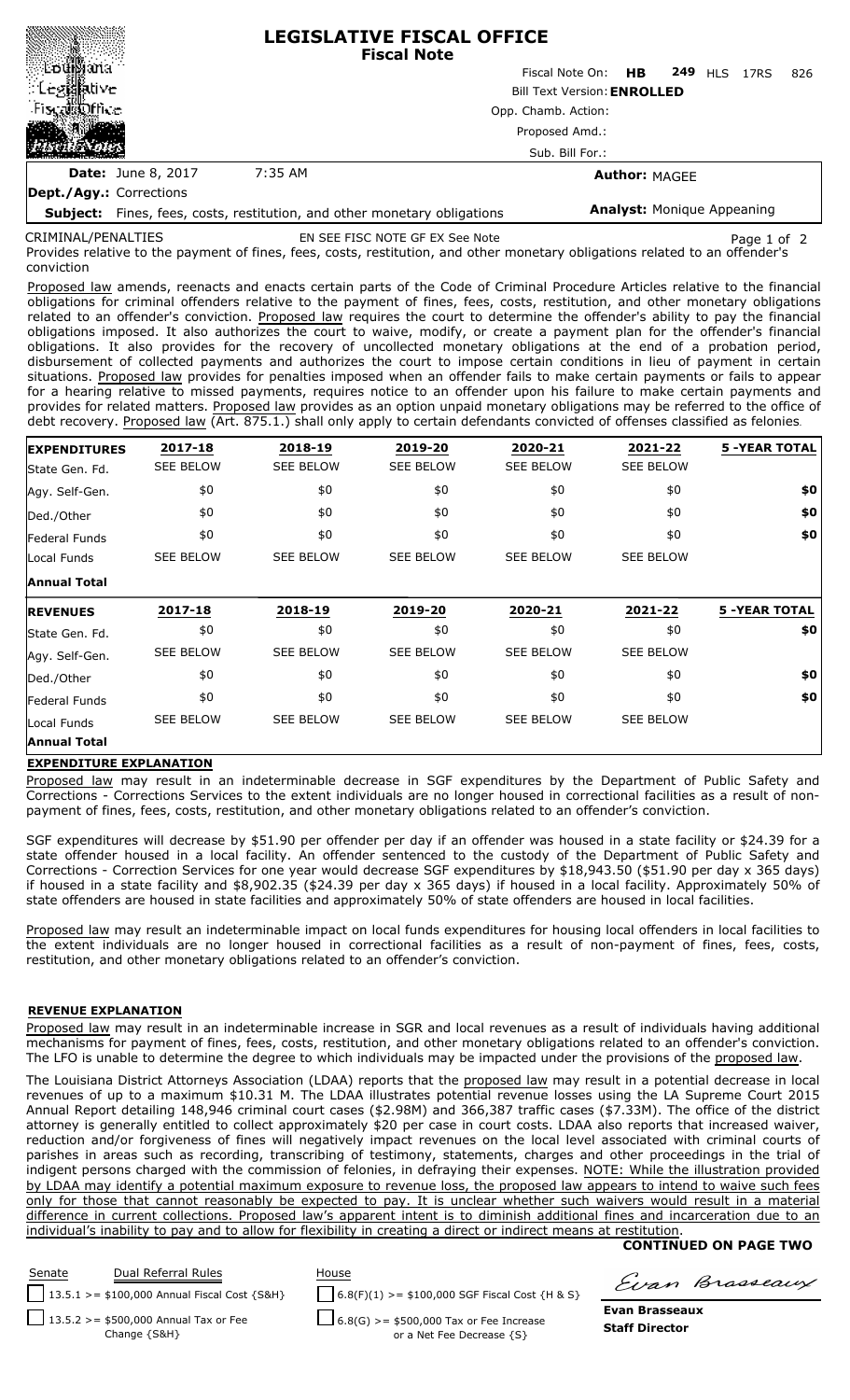|                         |                                   | <b>LEGISLATIVE FISCAL OFFICE</b><br><b>Fiscal Note</b>  |  |  |  |  |  |
|-------------------------|-----------------------------------|---------------------------------------------------------|--|--|--|--|--|
| ≋∄bu∰ana                |                                   | Fiscal Note On: <b>HB</b><br><b>249 HLS 17RS</b><br>826 |  |  |  |  |  |
| ં Leg⊠ative             |                                   | <b>Bill Text Version: ENROLLED</b>                      |  |  |  |  |  |
| Fiscal office<br>磁路     | Opp. Chamb. Action:               |                                                         |  |  |  |  |  |
|                         | Proposed Amd.:<br>Sub. Bill For.: |                                                         |  |  |  |  |  |
|                         |                                   |                                                         |  |  |  |  |  |
| Dept./Agy.: Corrections |                                   |                                                         |  |  |  |  |  |

**Subject:** Fines, fees, costs, restitution, and other monetary obligations **Analyst:** Monique Appeaning

related to an offender's conviction CRIMINAL/PENALTIES

EN SEE FISC NOTE GF EX See Note Page 1 of 2

Provides relative to the payment of fines, fees, costs, restitution, and other monetary obligations related to an offender's conviction

Proposed law amends, reenacts and enacts certain parts of the Code of Criminal Procedure Articles relative to the financial obligations for criminal offenders relative to the payment of fines, fees, costs, restitution, and other monetary obligations related to an offender's conviction. Proposed law requires the court to determine the offender's ability to pay the financial obligations imposed. It also authorizes the court to waive, modify, or create a payment plan for the offender's financial obligations. It also provides for the recovery of uncollected monetary obligations at the end of a probation period, disbursement of collected payments and authorizes the court to impose certain conditions in lieu of payment in certain situations. Proposed law provides for penalties imposed when an offender fails to make certain payments or fails to appear for a hearing relative to missed payments, requires notice to an offender upon his failure to make certain payments and provides for related matters. Proposed law provides as an option unpaid monetary obligations may be referred to the office of debt recovery. Proposed law (Art. 875.1.) shall only apply to certain defendants convicted of offenses classified as felonies.

| <b>EXPENDITURES</b> | 2017-18          | 2018-19          | 2019-20          | 2020-21          | 2021-22          | <b>5 -YEAR TOTAL</b> |
|---------------------|------------------|------------------|------------------|------------------|------------------|----------------------|
| State Gen. Fd.      | <b>SEE BELOW</b> | <b>SEE BELOW</b> | <b>SEE BELOW</b> | <b>SEE BELOW</b> | <b>SEE BELOW</b> |                      |
| Agy. Self-Gen.      | \$0              | \$0              | \$0              | \$0              | \$0              | \$0                  |
| Ded./Other          | \$0              | \$0              | \$0              | \$0              | \$0              | \$0                  |
| Federal Funds       | \$0              | \$0              | \$0              | \$0              | \$0              | \$0                  |
| Local Funds         | <b>SEE BELOW</b> | <b>SEE BELOW</b> | <b>SEE BELOW</b> | <b>SEE BELOW</b> | <b>SEE BELOW</b> |                      |
| <b>Annual Total</b> |                  |                  |                  |                  |                  |                      |
| <b>REVENUES</b>     | 2017-18          | 2018-19          | 2019-20          | 2020-21          | 2021-22          | <b>5 -YEAR TOTAL</b> |
|                     |                  |                  |                  |                  |                  |                      |
| State Gen. Fd.      | \$0              | \$0              | \$0              | \$0              | \$0              | \$0                  |
| Agy. Self-Gen.      | <b>SEE BELOW</b> | <b>SEE BELOW</b> | <b>SEE BELOW</b> | <b>SEE BELOW</b> | <b>SEE BELOW</b> |                      |
| Ded./Other          | \$0              | \$0              | \$0              | \$0              | \$0              | \$0                  |
| Federal Funds       | \$0              | \$0              | \$0              | \$0              | \$0              | \$0                  |
| Local Funds         | <b>SEE BELOW</b> | <b>SEE BELOW</b> | <b>SEE BELOW</b> | <b>SEE BELOW</b> | <b>SEE BELOW</b> |                      |

## **EXPENDITURE EXPLANATION**

Proposed law may result in an indeterminable decrease in SGF expenditures by the Department of Public Safety and Corrections - Corrections Services to the extent individuals are no longer housed in correctional facilities as a result of nonpayment of fines, fees, costs, restitution, and other monetary obligations related to an offender's conviction.

SGF expenditures will decrease by \$51.90 per offender per day if an offender was housed in a state facility or \$24.39 for a state offender housed in a local facility. An offender sentenced to the custody of the Department of Public Safety and Corrections - Correction Services for one year would decrease SGF expenditures by \$18,943.50 (\$51.90 per day x 365 days) if housed in a state facility and \$8,902.35 (\$24.39 per day x 365 days) if housed in a local facility. Approximately 50% of state offenders are housed in state facilities and approximately 50% of state offenders are housed in local facilities.

Proposed law may result an indeterminable impact on local funds expenditures for housing local offenders in local facilities to the extent individuals are no longer housed in correctional facilities as a result of non-payment of fines, fees, costs, restitution, and other monetary obligations related to an offender's conviction.

## **REVENUE EXPLANATION**

Proposed law may result in an indeterminable increase in SGR and local revenues as a result of individuals having additional mechanisms for payment of fines, fees, costs, restitution, and other monetary obligations related to an offender's conviction. The LFO is unable to determine the degree to which individuals may be impacted under the provisions of the proposed law.

The Louisiana District Attorneys Association (LDAA) reports that the proposed law may result in a potential decrease in local revenues of up to a maximum \$10.31 M. The LDAA illustrates potential revenue losses using the LA Supreme Court 2015 Annual Report detailing 148,946 criminal court cases (\$2.98M) and 366,387 traffic cases (\$7.33M). The office of the district attorney is generally entitled to collect approximately \$20 per case in court costs. LDAA also reports that increased waiver reduction and/or forgiveness of fines will negatively impact revenues on the local level associated with criminal courts of parishes in areas such as recording, transcribing of testimony, statements, charges and other proceedings in the trial of indigent persons charged with the commission of felonies, in defraying their expenses. NOTE: While the illustration provided by LDAA may identify a potential maximum exposure to revenue loss, the proposed law appears to intend to waive such fees only for those that cannot reasonably be expected to pay. It is unclear whether such waivers would result in a material difference in current collections. Proposed law's apparent intent is to diminish additional fines and incarceration due to an individual's inability to pay and to allow for flexibility in creating a direct or indirect means at restitution.

## **CONTINUED ON PAGE TWO**



Evan Brasseaux

**Evan Brasseaux Staff Director**